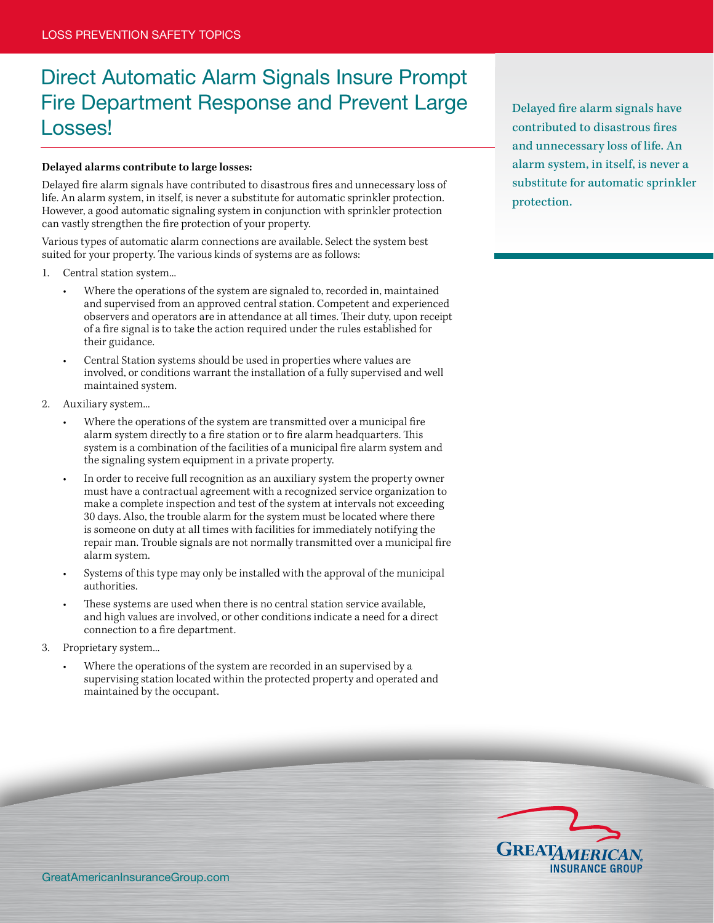## Direct Automatic Alarm Signals Insure Prompt Fire Department Response and Prevent Large Losses!

## **Delayed alarms contribute to large losses:**

Delayed fire alarm signals have contributed to disastrous fires and unnecessary loss of life. An alarm system, in itself, is never a substitute for automatic sprinkler protection. However, a good automatic signaling system in conjunction with sprinkler protection can vastly strengthen the fire protection of your property.

Various types of automatic alarm connections are available. Select the system best suited for your property. The various kinds of systems are as follows:

- 1. Central station system...
	- Where the operations of the system are signaled to, recorded in, maintained and supervised from an approved central station. Competent and experienced observers and operators are in attendance at all times. Their duty, upon receipt of a fire signal is to take the action required under the rules established for their guidance.
	- Central Station systems should be used in properties where values are involved, or conditions warrant the installation of a fully supervised and well maintained system.
- 2. Auxiliary system...
	- Where the operations of the system are transmitted over a municipal fire alarm system directly to a fire station or to fire alarm headquarters. This system is a combination of the facilities of a municipal fire alarm system and the signaling system equipment in a private property.
	- In order to receive full recognition as an auxiliary system the property owner must have a contractual agreement with a recognized service organization to make a complete inspection and test of the system at intervals not exceeding 30 days. Also, the trouble alarm for the system must be located where there is someone on duty at all times with facilities for immediately notifying the repair man. Trouble signals are not normally transmitted over a municipal fire alarm system.
	- Systems of this type may only be installed with the approval of the municipal authorities.
	- These systems are used when there is no central station service available, and high values are involved, or other conditions indicate a need for a direct connection to a fire department.
- 3. Proprietary system...
	- Where the operations of the system are recorded in an supervised by a supervising station located within the protected property and operated and maintained by the occupant.

Delayed fire alarm signals have contributed to disastrous fires and unnecessary loss of life. An alarm system, in itself, is never a substitute for automatic sprinkler protection.